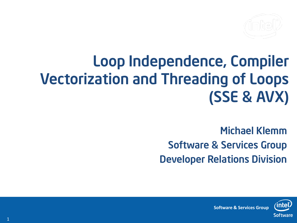

## Loop Independence, Compiler Vectorization and Threading of Loops (SSE & AVX)

Michael Klemm Software & Services Group Developer Relations Division



**Software & Services Group**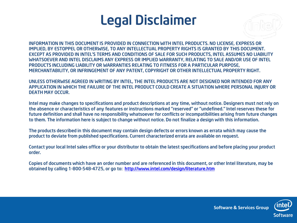#### Legal Disclaimer



INFORMATION IN THIS DOCUMENT IS PROVIDED IN CONNECTION WITH INTEL PRODUCTS. NO LICENSE, EXPRESS OR IMPLIED, BY ESTOPPEL OR OTHERWISE, TO ANY INTELLECTUAL PROPERTY RIGHTS IS GRANTED BY THIS DOCUMENT. EXCEPT AS PROVIDED IN INTEL'S TERMS AND CONDITIONS OF SALE FOR SUCH PRODUCTS, INTEL ASSUMES NO LIABILITY WHATSOEVER AND INTEL DISCLAIMS ANY EXPRESS OR IMPLIED WARRANTY, RELATING TO SALE AND/OR USE OF INTEL PRODUCTS INCLUDING LIABILITY OR WARRANTIES RELATING TO FITNESS FOR A PARTICULAR PURPOSE, MERCHANTABILITY, OR INFRINGEMENT OF ANY PATENT, COPYRIGHT OR OTHER INTELLECTUAL PROPERTY RIGHT.

UNLESS OTHERWISE AGREED IN WRITING BY INTEL, THE INTEL PRODUCTS ARE NOT DESIGNED NOR INTENDED FOR ANY APPLICATION IN WHICH THE FAILURE OF THE INTEL PRODUCT COULD CREATE A SITUATION WHERE PERSONAL INJURY OR DEATH MAY OCCUR.

Intel may make changes to specifications and product descriptions at any time, without notice. Designers must not rely on the absence or characteristics of any features or instructions marked "reserved" or "undefined." Intel reserves these for future definition and shall have no responsibility whatsoever for conflicts or incompatibilities arising from future changes to them. The information here is subject to change without notice. Do not finalize a design with this information.

The products described in this document may contain design defects or errors known as errata which may cause the product to deviate from published specifications. Current characterized errata are available on request.

Contact your local Intel sales office or your distributor to obtain the latest specifications and before placing your product order.

Copies of documents which have an order number and are referenced in this document, or other Intel literature, may be obtained by calling 1-800-548-4725, or go to: <http://www.intel.com/design/literature.htm>



**Software & Services Group**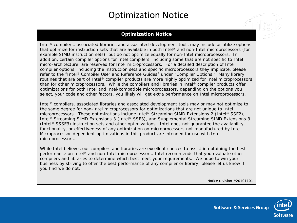#### Optimization Notice

#### **Optimization Notice**

Intel® compilers, associated libraries and associated development tools may include or utilize options that optimize for instruction sets that are available in both Intel® and non-Intel microprocessors (for example SIMD instruction sets), but do not optimize equally for non-Intel microprocessors. In addition, certain compiler options for Intel compilers, including some that are not specific to Intel micro-architecture, are reserved for Intel microprocessors. For a detailed description of Intel compiler options, including the instruction sets and specific microprocessors they implicate, please refer to the "Intel® Compiler User and Reference Guides" under "Compiler Options." Many library routines that are part of Intel® compiler products are more highly optimized for Intel microprocessors than for other microprocessors. While the compilers and libraries in Intel® compiler products offer optimizations for both Intel and Intel-compatible microprocessors, depending on the options you select, your code and other factors, you likely will get extra performance on Intel microprocessors.

Intel<sup>®</sup> compilers, associated libraries and associated development tools may or may not optimize to the same degree for non-Intel microprocessors for optimizations that are not unique to Intel microprocessors. These optimizations include Intel® Streaming SIMD Extensions 2 (Intel® SSE2), Intel<sup>®</sup> Streaming SIMD Extensions 3 (Intel<sup>®</sup> SSE3), and Supplemental Streaming SIMD Extensions 3 (Intel® SSSE3) instruction sets and other optimizations. Intel does not guarantee the availability, functionality, or effectiveness of any optimization on microprocessors not manufactured by Intel. Microprocessor-dependent optimizations in this product are intended for use with Intel microprocessors.

While Intel believes our compilers and libraries are excellent choices to assist in obtaining the best performance on Intel® and non-Intel microprocessors, Intel recommends that you evaluate other compilers and libraries to determine which best meet your requirements. We hope to win your business by striving to offer the best performance of any compiler or library; please let us know if you find we do not.

Notice revision #20101101

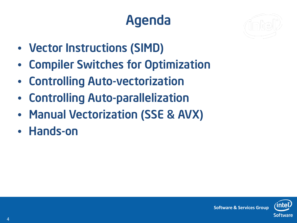## Agenda



- Vector Instructions (SIMD)
- Compiler Switches for Optimization
- Controlling Auto-vectorization
- Controlling Auto-parallelization
- Manual Vectorization (SSE & AVX)
- Hands-on

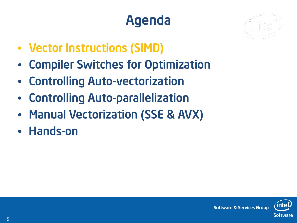## Agenda



- Vector Instructions (SIMD)
- Compiler Switches for Optimization
- Controlling Auto-vectorization
- Controlling Auto-parallelization
- Manual Vectorization (SSE & AVX)
- Hands-on

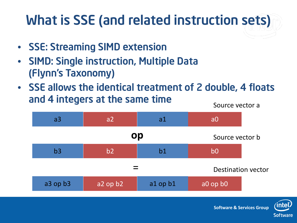## What is SSE (and related instruction sets)

- SSE: Streaming SIMD extension
- SIMD: Single instruction, Multiple Data (Flynn's Taxonomy)
- SSE allows the identical treatment of 2 double, 4 floats and 4 integers at the same time Source vector a



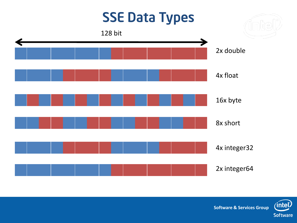

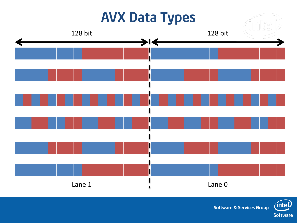

**Software & Services Group**

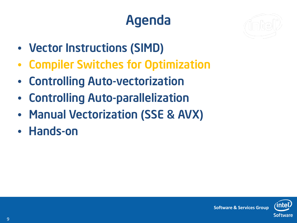## Agenda



- Vector Instructions (SIMD)
- Compiler Switches for Optimization
- Controlling Auto-vectorization
- Controlling Auto-parallelization
- Manual Vectorization (SSE & AVX)
- Hands-on

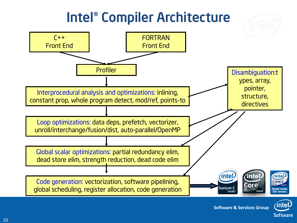#### Intel® Compiler Architecture





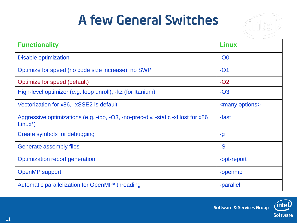#### A few General Switches



| <b>Functionality</b>                                                                         | <b>Linux</b>             |
|----------------------------------------------------------------------------------------------|--------------------------|
| <b>Disable optimization</b>                                                                  | $-OO$                    |
| Optimize for speed (no code size increase), no SWP                                           | $-O1$                    |
| Optimize for speed (default)                                                                 | $-O2$                    |
| High-level optimizer (e.g. loop unroll), -ftz (for Itanium)                                  | $-O3$                    |
| Vectorization for x86, -xSSE2 is default                                                     | <many options=""></many> |
| Aggressive optimizations (e.g. -ipo, -O3, -no-prec-div, -static -xHost for x86<br>$Linux^*)$ | -fast                    |
| Create symbols for debugging                                                                 | -g                       |
| <b>Generate assembly files</b>                                                               | $-S$                     |
| Optimization report generation                                                               | -opt-report              |
| <b>OpenMP</b> support                                                                        | -openmp                  |
| Automatic parallelization for OpenMP <sup>*</sup> threading                                  | -parallel                |

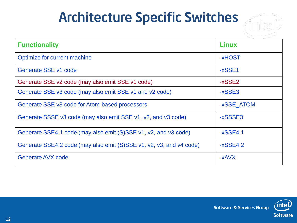#### Architecture Specific Switches



| <b>Functionality</b>                                                | Linux      |
|---------------------------------------------------------------------|------------|
| Optimize for current machine                                        | -xHOST     |
| Generate SSE v1 code                                                | $-xSSE1$   |
| Generate SSE v2 code (may also emit SSE v1 code)                    | -xSSE2     |
| Generate SSE v3 code (may also emit SSE v1 and v2 code)             | -xSSE3     |
| Generate SSE v3 code for Atom-based processors                      | -xSSE_ATOM |
| Generate SSSE v3 code (may also emit SSE v1, v2, and v3 code)       | -xSSSE3    |
| Generate SSE4.1 code (may also emit (S)SSE v1, v2, and v3 code)     | $-xSSE4.1$ |
| Generate SSE4.2 code (may also emit (S)SSE v1, v2, v3, and v4 code) | $-xSSE4.2$ |
| <b>Generate AVX code</b>                                            | $-xAVX$    |

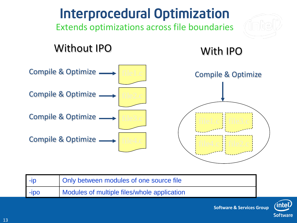

|        | Only between modules of one source file     |
|--------|---------------------------------------------|
| $-IDO$ | Modules of multiple files/whole application |



**Software & Services Group**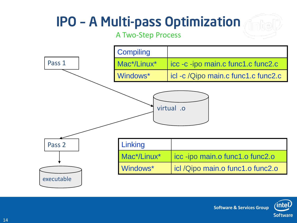#### IPO – A Multi-pass Optimization

#### A Two-Step Process



**intel Software & Services Group Software**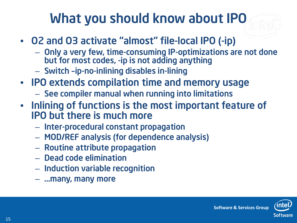#### What you should know about IPO

- O2 and O3 activate "almost" file-local IPO (-ip)
	- Only a very few, time-consuming IP-optimizations are not done but for most codes, -ip is not adding anything
	- Switch –ip-no-inlining disables in-lining
- IPO extends compilation time and memory usage
	- See compiler manual when running into limitations
- Inlining of functions is the most important feature of IPO but there is much more
	- Inter-procedural constant propagation
	- MOD/REF analysis (for dependence analysis)
	- Routine attribute propagation
	- Dead code elimination
	- Induction variable recognition
	- …many, many more

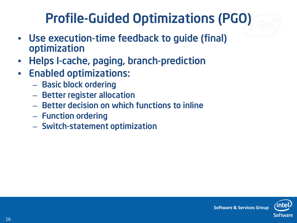#### Profile-Guided Optimizations (PGO)

- Use execution-time feedback to guide (final) optimization
- Helps I-cache, paging, branch-prediction
- Enabled optimizations:
	- Basic block ordering
	- Better register allocation
	- Better decision on which functions to inline
	- Function ordering
	- Switch-statement optimization

**Software & Services Group**

16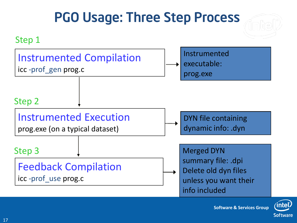#### Instrumented Compilation icc -prof\_gen prog.c Instrumented Execution prog.exe (on a typical dataset) Feedback Compilation icc -prof\_use prog.c DYN file containing dynamic info: .dyn Instrumented executable: prog.exe Merged DYN summary file: .dpi Delete old dyn files unless you want their info included Step 1 Step 2 Step 3 PGO Usage: Three Step Process



**Software & Services Group**

17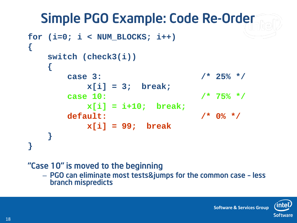#### Simple PGO Example: Code Re-Order

```
for (i=0; i < NUM_BLOCKS; i++)
{
   switch (check3(i)) 
   {
      case 3: /* 25% */
         x[i] = 3; break;
      case 10: /* 75% */
         x[i] = i+10; break;
      default: /* 0% */
         x[i] = 99; break
   }
}
```
#### "Case 10" is moved to the beginning

– PGO can eliminate most tests&jumps for the common case – less branch mispredicts

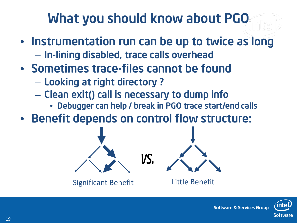#### What you should know about PGO

- Instrumentation run can be up to twice as long – In-lining disabled, trace calls overhead
- Sometimes trace-files cannot be found
	- Looking at right directory ?
	- Clean exit() call is necessary to dump info
		- Debugger can help / break in PGO trace start/end calls
- Benefit depends on control flow structure:



Significant Benefit **Little Benefit** 

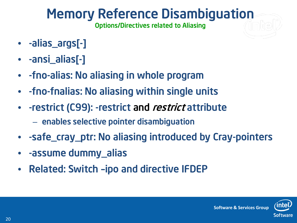#### Memory Reference Disambiguation

Options/Directives related to Aliasing

- -alias\_args[-]
- -ansi\_alias[-]
- -fno-alias: No aliasing in whole program
- -fno-fnalias: No aliasing within single units
- - restrict (C99): restrict and restrict attribute
	- enables selective pointer disambiguation
- -safe\_cray\_ptr: No aliasing introduced by Cray-pointers
- -assume dummy\_alias
- Related: Switch –ipo and directive IFDEP

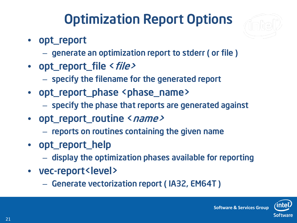#### Optimization Report Options



- opt\_report
	- generate an optimization report to stderr ( or file )
- opt\_report\_file < file>
	- specify the filename for the generated report
- opt\_report\_phase <phase\_name>
	- specify the phase that reports are generated against
- opt\_report\_routine <name>
	- reports on routines containing the given name
- opt\_report\_help
	- display the optimization phases available for reporting
- vec-report<level>
	- Generate vectorization report ( IA32, EM64T )

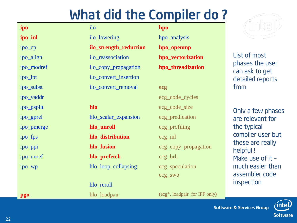#### What did the Compiler do ?

|            | <u>WITCH THE COMPTER OU :</u> |                               |                                   |
|------------|-------------------------------|-------------------------------|-----------------------------------|
| ipo        | ilo                           | hpo                           |                                   |
| ipo_inl    | ilo_lowering                  | hpo_analysis                  |                                   |
| ipo_cp     | ilo_strength_reduction        | hpo_openmp                    |                                   |
| ipo_align  | ilo_reassociation             | hpo_vectorization             | List of most                      |
| ipo_modref | ilo_copy_propagation          | hpo_threadization             | phases the user<br>can ask to get |
| ipo_lpt    | ilo_convert_insertion         |                               | detailed reports                  |
| ipo_subst  | ilo_convert_removal           | ecg                           | from                              |
| ipo_vaddr  |                               | ecg_code_cycles               |                                   |
| ipo_psplit | hlo                           | ecg_code_size                 | Only a few phases                 |
| ipo_gprel  | hlo_scalar_expansion          | ecg_predication               | are relevant for                  |
| ipo_pmerge | hlo_unroll                    | ecg_profiling                 | the typical                       |
| ipo_fps    | hlo_distribution              | $ecg_{in}$                    | compiler user but                 |
| ipo_ppi    | hlo_fusion                    | ecg_copy_propagation          | these are really<br>helpful!      |
| ipo_unref  | hlo_prefetch                  | ecg_brh                       | Make use of it -                  |
| ipo_wp     | hlo_loop_collapsing           | ecg_speculation               | much easier than                  |
|            |                               | ecg_swp                       | assembler code                    |
|            | hlo_reroll                    |                               | inspection                        |
| pgo        | hlo_loadpair                  | (ecg*, loadpair for IPF only) |                                   |

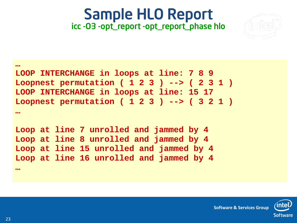#### Sample HLO Report icc -O3 -opt\_report -opt\_report\_phase hlo



#### **… LOOP INTERCHANGE in loops at line: 7 8 9 Loopnest permutation ( 1 2 3 ) --> ( 2 3 1 ) LOOP INTERCHANGE in loops at line: 15 17 Loopnest permutation ( 1 2 3 ) --> ( 3 2 1 ) …**

**Loop at line 7 unrolled and jammed by 4 Loop at line 8 unrolled and jammed by 4 Loop at line 15 unrolled and jammed by 4 Loop at line 16 unrolled and jammed by 4 …**



**Software & Services Group**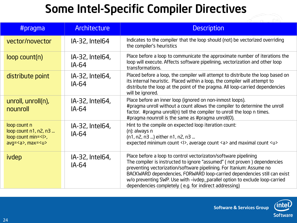#### Some Intel-Specific Compiler Directives

| #pragma                                                                                                               | <b>Architecture</b>      | <b>Description</b>                                                                                                                                                                                                                                                                                                                                                                                                                       |
|-----------------------------------------------------------------------------------------------------------------------|--------------------------|------------------------------------------------------------------------------------------------------------------------------------------------------------------------------------------------------------------------------------------------------------------------------------------------------------------------------------------------------------------------------------------------------------------------------------------|
| vector/novector                                                                                                       | IA-32, Intel64           | Indicates to the compiler that the loop should (not) be vectorized overriding<br>the compiler's heuristics                                                                                                                                                                                                                                                                                                                               |
| $loop$ count $(n)$                                                                                                    | IA-32, Intel64,<br>IA-64 | Place before a loop to communicate the approximate number of iterations the<br>loop will execute. Affects software pipelining, vectorization and other loop<br>transformations.                                                                                                                                                                                                                                                          |
| distribute point                                                                                                      | IA-32, Intel64,<br>IA-64 | Placed before a loop, the compiler will attempt to distribute the loop based on<br>its internal heuristic. Placed within a loop, the compiler will attempt to<br>distribute the loop at the point of the pragma. All loop-carried dependencies<br>will be ignored.                                                                                                                                                                       |
| unroll, unroll(n),<br>nounroll                                                                                        | IA-32, Intel64,<br>IA-64 | Place before an inner loop (ignored on non-inmost loops).<br>#pragma unroll without a count allows the compiler to determine the unroll<br>factor. #pragma unroll(n) tell the compiler to unroll the loop n times.<br>#pragma nounroll is the same as #pragma unroll(0).                                                                                                                                                                 |
| loop count n<br>$loop$ count $n1$ , $n2$ , $n3$<br>$loop$ count min= $\langle \rangle$ ,<br>avg= <a>, max=<u></u></a> | IA-32, Intel64,<br>IA-64 | Hint to the compile on expected loop iteration count:<br>(n): always n<br>(n1, n2, n3 ) either n1, n2, n3<br>expected minimum count <1>, average count <a> and maximal count <u></u></a>                                                                                                                                                                                                                                                 |
| ivdep                                                                                                                 | IA-32, Intel64,<br>IA-64 | Place before a loop to control vectorizaton/software pipelining<br>The compiler is instructed to ignore "assumed" (not proven) dependencies<br>preventing vectorization/software pipelining. For Itanium: Assume no<br>BACKWARD dependencies, FORWARD loop-carried dependencies still can exist<br>w/o preventing SWP. Use with -ivdep_parallel option to exclude loop-carried<br>dependencies completely (e.g. for indirect addressing) |





пÀ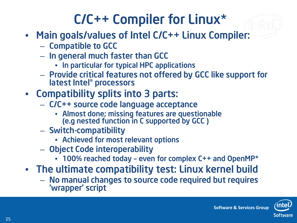#### C/C++ Compiler for Linux\*

- Main goals/values of Intel C/C++ Linux Compiler:
	- Compatible to GCC
	- In general much faster than GCC
		- In particular for typical HPC applications
	- Provide critical features not offered by GCC like support for latest Intel® processors
- Compatibility splits into 3 parts:
	- C/C++ source code language acceptance
		- Almost done; missing features are questionable (e.g nested function in C supported by GCC )
	- Switch-compatibility
		- Achieved for most relevant options
	- Object Code interoperability
		- 100% reached today even for complex C++ and OpenMP\*
- The ultimate compatibility test: Linux kernel build
	- No manual changes to source code required but requires 'wrapper' script

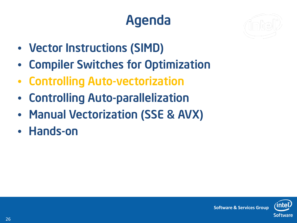## Agenda



- Vector Instructions (SIMD)
- Compiler Switches for Optimization
- Controlling Auto-vectorization
- Controlling Auto-parallelization
- Manual Vectorization (SSE & AVX)
- Hands-on

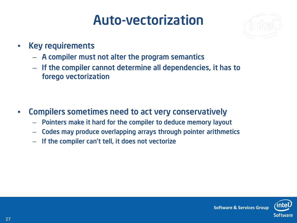#### Auto-vectorization



- Key requirements
	- A compiler must not alter the program semantics
	- If the compiler cannot determine all dependencies, it has to forego vectorization

- Compilers sometimes need to act very conservatively
	- Pointers make it hard for the compiler to deduce memory layout
	- Codes may produce overlapping arrays through pointer arithmetics
	- If the compiler can't tell, it does not vectorize

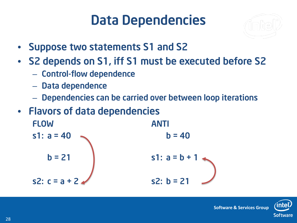#### Data Dependencies



- Suppose two statements S1 and S2
- S2 depends on S1, iff S1 must be executed before S2
	- Control-flow dependence
	- Data dependence
	- Dependencies can be carried over between loop iterations
- Flavors of data dependencies

FLOW ANTI s1:  $a = 40$  b = 40  $b = 21$  s1:  $a = b +$ s2:  $c = a + 2$  s2:  $b = 21$ 

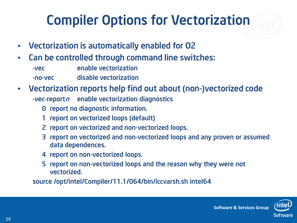## Compiler Options for Vectorization

- Vectorization is automatically enabled for O2
- Can be controlled through command line switches: -vec enable vectorization -no-vec disable vectorization
- Vectorization reports help find out about (non-)vectorized code  $\lnot$ vec-report $n$  enable vectorization diagnostics
	- 0 report no diagnostic information.
	- 1 report on vectorized loops (default)
	- 2 report on vectorized and non-vectorized loops.
	- 3 report on vectorized and non-vectorized loops and any proven or assumed data dependences.
	- 4 report on non-vectorized loops.
	- 5 report on non-vectorized loops and the reason why they were not vectorized.

source /opt/intel/Compiler/11.1/064/bin/iccvarsh.sh intel64

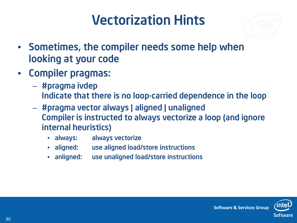#### Vectorization Hints



- Sometimes, the compiler needs some help when looking at your code
- Compiler pragmas:
	- #pragma ivdep Indicate that there is no loop-carried dependence in the loop
	- #pragma vector always | aligned | unaligned Compiler is instructed to always vectorize a loop (and ignore internal heuristics)
		- always: always vectorize
		- aligned: use aligned load/store instructions
		- anligned: use unaligned load/store instructions

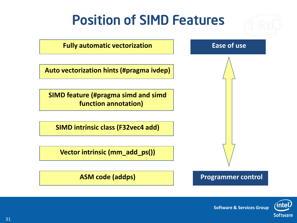

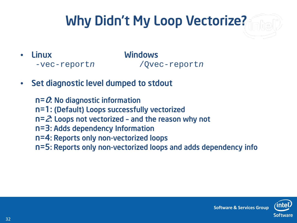## Why Didn't My Loop Vectorize?

- Linux Windows *-*vec-report*n* /Qvec-report*n*
- Set diagnostic level dumped to stdout

 $n = 0$ : No diagnostic information n=1: (Default) Loops successfully vectorized n=2: Loops not vectorized – and the reason why not n=3: Adds dependency Information n=4: Reports only non-vectorized loops n=5: Reports only non-vectorized loops and adds dependency info



**Software & Services Group**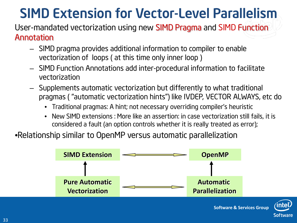#### SIMD Extension for Vector-Level Parallelism

#### User-mandated vectorization using new SIMD Pragma and SIMD Function Annotation

- SIMD pragma provides additional information to compiler to enable vectorization of loops ( at this time only inner loop )
- SIMD Function Annotations add inter-procedural information to facilitate vectorization
- Supplements automatic vectorization but differently to what traditional pragmas ( "automatic vectorization hints") like IVDEP, VECTOR ALWAYS, etc do
	- Traditional pragmas: A hint; not necessary overriding compiler's heuristic
	- New SIMD extensions : More like an assertion: in case vectorization still fails, it is considered a fault (an option controls whether it is really treated as error);

•Relationship similar to OpenMP versus automatic parallelization



**Software**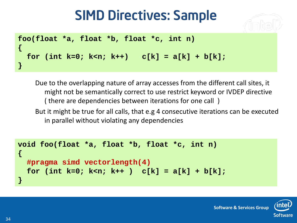#### SIMD Directives: Sample



```
foo(float *a, float *b, float *c, int n)
{ 
  for (int k=0; k<n; k++) c[k] = a[k] + b[k];
}
```
Due to the overlapping nature of array accesses from the different call sites, it might not be semantically correct to use restrict keyword or IVDEP directive ( there are dependencies between iterations for one call )

But it might be true for all calls, that e.g 4 consecutive iterations can be executed in parallel without violating any dependencies

```
void foo(float *a, float *b, float *c, int n)
{
  #pragma simd vectorlength(4)
  for (int k=0; k<n; k++ ) c[k] = a[k] + b[k];
}
```
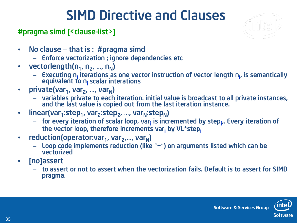#### SIMD Directive and Clauses

#### #pragma simd [<clause-list>]



- No clause that is : #pragma simd
	- Enforce vectorization ; ignore dependencies etc
- vectorlength( $n_1$ ,  $n_2$ , ...,  $n_N$ )
	- Executing n<sub>i</sub> iterations as one vector instruction of vector length n<sub>i</sub>, is semantically equivalent to n<sub>i</sub> scalar interations
- private(var<sub>1</sub>, var<sub>2</sub>, ..., var<sub>N</sub>)
	- variables private to each iteration. initial value is broadcast to all private instances, and the last value is copied out from the last iteration instance.
- linear(var<sub>1</sub>:step<sub>1</sub>, var<sub>2</sub>:step<sub>2</sub>, ..., var<sub>N</sub>:step<sub>N</sub>)
	- for every iteration of scalar loop, var<sub>i</sub> is incremented by step<sub>i</sub>,. Every iteration of the vector loop, therefore increments var<sub>i</sub> by VL\*step<sub>i</sub>
- reduction(operator:var<sub>1</sub>, var<sub>2</sub>,..., var<sub>N</sub>)
	- Loop code implements reduction (like "+") on arguments listed which can be vectorized
- [no]assert
	- to assert or not to assert when the vectorization fails. Default is to assert for SIMD pragma.

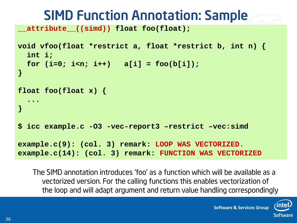#### SIMD Function Annotation: Sample

**\_\_attribute\_\_((simd)) float foo(float);**

```
void vfoo(float *restrict a, float *restrict b, int n) {
  int i;
  for (i=0; i \le n; i++) a[i] = foo(b[i]);
}
float foo(float x) {
  ...
}
$ icc example.c -O3 -vec-report3 –restrict –vec:simd 
example.c(9): (col. 3) remark: LOOP WAS VECTORIZED.
example.c(14): (col. 3) remark: FUNCTION WAS VECTORIZED
```
The SIMD annotation introduces 'foo' as a function which will be available as a vectorized version. For the calling functions this enables vectorization of the loop and will adapt argument and return value handling correspondingly

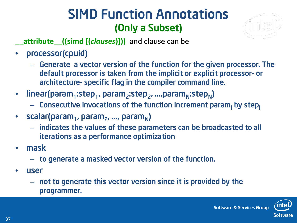#### SIMD Function Annotations (Only a Subset)



**\_\_attribute\_\_((simd [(***clauses***)]))** and clause can be

- processor(cpuid)
	- Generate a vector version of the function for the given processor. The default processor is taken from the implicit or explicit processor- or architecture- specific flag in the compiler command line.
- linear(param<sub>1</sub>:step<sub>1</sub>, param<sub>2</sub>:step<sub>2</sub>, ...,param<sub>N</sub>:step<sub>N</sub>)
	- $-$  Consecutive invocations of the function increment param<sub>i</sub> by stepi
- scalar(param<sub>1</sub>, param<sub>2</sub>, ..., param<sub>N</sub>)
	- indicates the values of these parameters can be broadcasted to all iterations as a performance optimization
- mask
	- to generate a masked vector version of the function.
- user
	- not to generate this vector version since it is provided by the programmer.

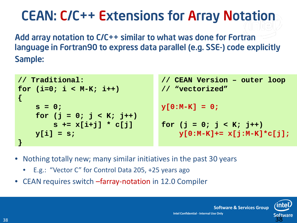#### CEAN: C/C++ Extensions for Array Notation

Add array notation to C/C++ similar to what was done for Fortran language in Fortran90 to express data parallel (e.g. SSE-) code explicitly Sample:

```
// CEAN Version – outer loop
                                  // "vectorized"
                                 y[0:M-K] = 0;
                                  for (j = 0; j < K; j++)y[0:M-K]+= x[j:M-K]*c[j];
// Traditional: 
for (i=0; i < M-K; i++)
{
    s = 0;
    for (j = 0; j < K; j++)
        s += x[i+j] * c[j]
   y[i] = s;
}
```
- Nothing totally new; many similar initiatives in the past 30 years
	- E.g.: "Vector C" for Control Data 205, +25 years ago
- CEAN requires switch –farray-notation in 12.0 Compiler



**Software & Services Group**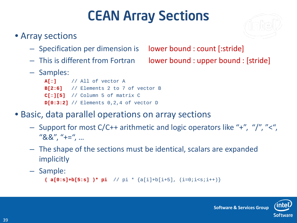#### CEAN Array Sections

#### • Array sections

- Specification per dimension is lower bound : count [:stride]
- 
- Samples:

**A[:]** // All of vector A **B[2:6]** // Elements 2 to 7 of vector B **C[:][5]** // Column 5 of matrix C **D[0:3:2]** // Elements 0,2,4 of vector D

- Basic, data parallel operations on array sections
	- Support for most C/C++ arithmetic and logic operators like "+", "/", "<", "&&", "+=", …
	- The shape of the sections must be identical, scalars are expanded implicitly
	- Sample:

```
( a[0:s]+b[5:s] )* pi // pi * {a[i]+b[i+5], (i=0;i<s;i++)}
```
– This is different from Fortran lower bound : upper bound : [stride]

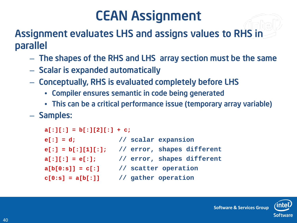#### CEAN Assignment

Assignment evaluates LHS and assigns values to RHS in parallel

- The shapes of the RHS and LHS array section must be the same
- Scalar is expanded automatically
- Conceptually, RHS is evaluated completely before LHS
	- Compiler ensures semantic in code being generated
	- This can be a critical performance issue (temporary array variable)

– Samples:

```
a[:][:] = b[:][2][:] + c;
e[:] = d; // scalar expansion
e[:] = b[:][1][:]; // error, shapes different 
a[:][:] = e[:]; // error, shapes different
a[b[0:s]] = c[:] // scatter operation
c[0:s] = a[b[:]] // gather operation
```
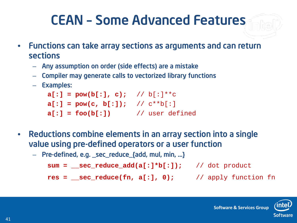#### CEAN – Some Advanced Features

- Functions can take array sections as arguments and can return sections
	- Any assumption on order (side effects) are a mistake
	- Compiler may generate calls to vectorized library functions
	- Examples:

 $a[:] = pow(b[:], c);$  //  $b[:]^{**}c$  $a[:] = pow(c, b[:])$ ; //  $c**b[:]$  $a[:] = foo(b[:])$  // user defined

- Reductions combine elements in an array section into a single value using pre-defined operators or a user function
	- Pre-defined, e.g. \_sec\_reduce\_{add, mul, min, …}

```
sum = __sec_reduce_add(a[:]*b[:]); // dot product
```
**res = \_\_sec\_reduce(fn, a[:], 0);** // apply function fn

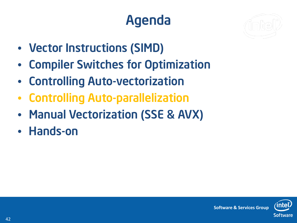## Agenda



- Vector Instructions (SIMD)
- Compiler Switches for Optimization
- Controlling Auto-vectorization
- Controlling Auto-parallelization
- Manual Vectorization (SSE & AVX)
- Hands-on

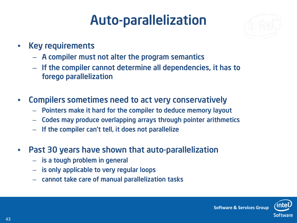#### Auto-parallelization



- Key requirements
	- A compiler must not alter the program semantics
	- If the compiler cannot determine all dependencies, it has to forego parallelization
- Compilers sometimes need to act very conservatively
	- Pointers make it hard for the compiler to deduce memory layout
	- Codes may produce overlapping arrays through pointer arithmetics
	- If the compiler can't tell, it does not parallelize
- Past 30 years have shown that auto-parallelization
	- is a tough problem in general
	- is only applicable to very regular loops
	- cannot take care of manual parallelization tasks

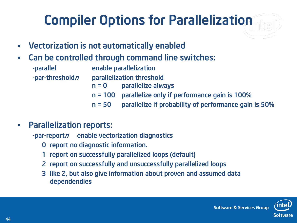## Compiler Options for Parallelization

- Vectorization is not automatically enabled
- Can be controlled through command line switches:

| -parallel               | enable parallelization |                                                        |
|-------------------------|------------------------|--------------------------------------------------------|
| -par-threshold <i>n</i> |                        | parallelization threshold                              |
|                         |                        | $n = 0$ parallelize always                             |
|                         |                        | $n = 100$ parallelize only if performance gain is 100% |
|                         | $n = 50$               | parallelize if probability of performance gain is 50%  |

#### • Parallelization reports:

 $-p$ ar-report $n$  enable vectorization diagnostics

- 0 report no diagnostic information.
- 1 report on successfully parallelized loops (default)
- 2 report on successfully and unsuccessfully parallelized loops
- 3 like 2, but also give information about proven and assumed data dependendies

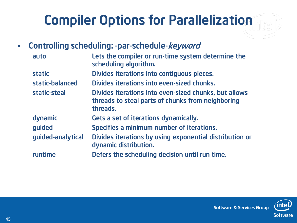## Compiler Options for Parallelization

• Controlling scheduling: -par-schedule-keyword

| auto              | Lets the compiler or run-time system determine the<br>scheduling algorithm.                                            |
|-------------------|------------------------------------------------------------------------------------------------------------------------|
| <b>static</b>     | Divides iterations into contiguous pieces.                                                                             |
| static-balanced   | Divides iterations into even-sized chunks.                                                                             |
| static-steal      | Divides iterations into even-sized chunks, but allows<br>threads to steal parts of chunks from neighboring<br>threads. |
| dynamic           | Gets a set of iterations dynamically.                                                                                  |
| quided            | Specifies a minimum number of iterations.                                                                              |
| guided-analytical | Divides iterations by using exponential distribution or<br>dynamic distribution.                                       |
| runtime           | Defers the scheduling decision until run time.                                                                         |



**Software & Services Group**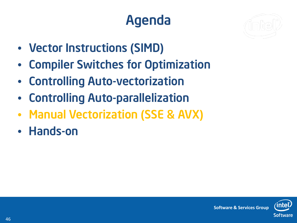## Agenda



- Vector Instructions (SIMD)
- Compiler Switches for Optimization
- Controlling Auto-vectorization
- Controlling Auto-parallelization
- Manual Vectorization (SSE & AVX)
- Hands-on

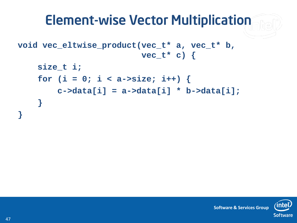#### Element-wise Vector Multiplication

```
void vec_eltwise_product(vec_t* a, vec_t* b, 
                          vec_t* c) {
```

```
size_t i;
for (i = 0; i < a->size; i++) {
    c->data[i] = a->data[i] * b->data[i];
}
```


**Software & Services Group**

**}**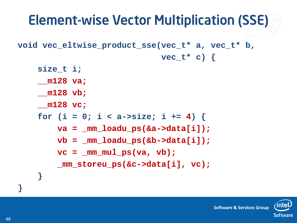#### Element-wise Vector Multiplication (SSE) **void vec\_eltwise\_product\_sse(vec\_t\* a, vec\_t\* b, vec\_t\* c) { size\_t i; \_\_m128 va; \_\_m128 vb; \_\_m128 vc;** for  $(i = 0; i < a$ ->size;  $i += 4$ ) { **va = \_mm\_loadu\_ps(&a->data[i]);**  $vb = \text{mm}$  loadu  $ps($ &b->data[i]);  $vc = mm mul ps(va, vb);$ **\_mm\_storeu\_ps(&c->data[i], vc); } }**

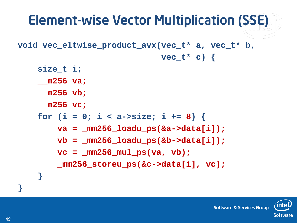#### Element-wise Vector Multiplication (SSE) **void vec\_eltwise\_product\_avx(vec\_t\* a, vec\_t\* b, vec\_t\* c) { size\_t i; \_\_m256 va; \_\_m256 vb; \_\_m256 vc;** for  $(i = 0; i < a$ ->size;  $i += 8$ ) { **va = \_mm256\_loadu\_ps(&a->data[i]); vb = \_mm256\_loadu\_ps(&b->data[i]);**  $vc = mm256 mul ps(va, vb);$ **\_mm256\_storeu\_ps(&c->data[i], vc); }**



**}**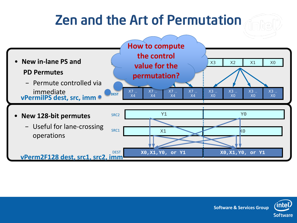#### Zen and the Art of Permutation **SRC1 DEST value for the**  $\frac{1}{2}$   $\frac{1}{2}$   $\frac{1}{2}$   $\frac{1}{2}$   $\frac{1}{2}$   $\frac{1}{2}$   $\frac{1}{2}$   $\frac{1}{2}$   $\frac{1}{2}$ X7 .. X4 X7 .. X4 X7 .. X4 X7 .. X4 X3 .. X0 X3 .. X0 X3 .. X0 X3 .. X0 • **New in-lane PS and PD Permutes** – Permute controlled via immediate **w** Y1 Y0 **X0,X1,Y0, or Y1 X0,X1,Y0, or Y1** SRC1 X1 X0 SRC2 DEST • **New 128-bit permutes** – Useful for lane-crossing operations **vPermilPS dest, src, imm vPerm2F128 dest, src1, src2, imm How to compute the control permutation?**

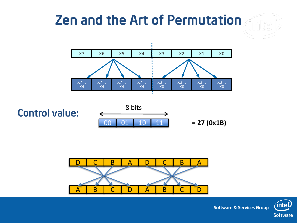# Zen and the Art of Permutation







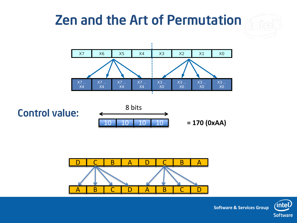## Zen and the Art of Permutation









**Software & Services Group**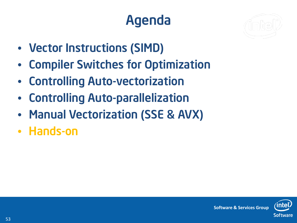## Agenda



- Vector Instructions (SIMD)
- Compiler Switches for Optimization
- Controlling Auto-vectorization
- Controlling Auto-parallelization
- Manual Vectorization (SSE & AVX)
- Hands-on

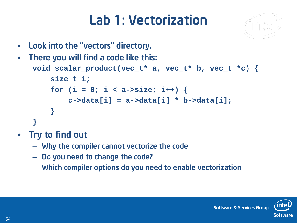#### Lab 1: Vectorization



• Look into the "vectors" directory.

```
There you will find a code like this:
 void scalar_product(vec_t* a, vec_t* b, vec_t *c) {
     size_t i;
     for (i = 0; i < a \rightarrow size; i++) {
          c->data[i] = a->data[i] * b->data[i];
     }
 }
```
- Try to find out
	- Why the compiler cannot vectorize the code
	- Do you need to change the code?
	- Which compiler options do you need to enable vectorization

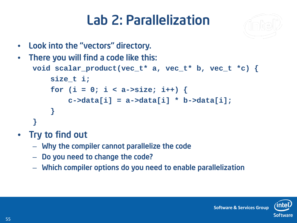#### Lab 2: Parallelization



• Look into the "vectors" directory.

```
There you will find a code like this:
 void scalar_product(vec_t* a, vec_t* b, vec_t *c) {
     size_t i;
     for (i = 0; i < a \rightarrow size; i++) {
          c->data[i] = a->data[i] * b->data[i];
     }
 }
```
- Try to find out
	- Why the compiler cannot parallelize the code
	- Do you need to change the code?
	- Which compiler options do you need to enable parallelization

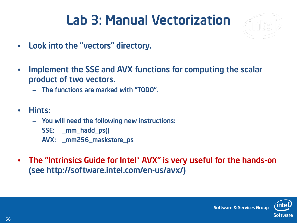#### Lab 3: Manual Vectorization



- Look into the "vectors" directory.
- Implement the SSE and AVX functions for computing the scalar product of two vectors.
	- The functions are marked with "TODO".
- Hints:
	- You will need the following new instructions:
		- SSE: \_mm\_hadd\_ps()
		- AVX: \_mm256\_maskstore\_ps
- The "Intrinsics Guide for Intel® AVX" is very useful for the hands-on (see http://software.intel.com/en-us/avx/)

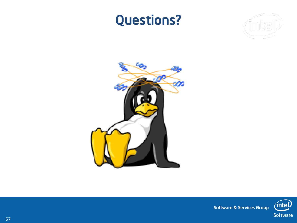#### Questions?







**Software & Services Group**